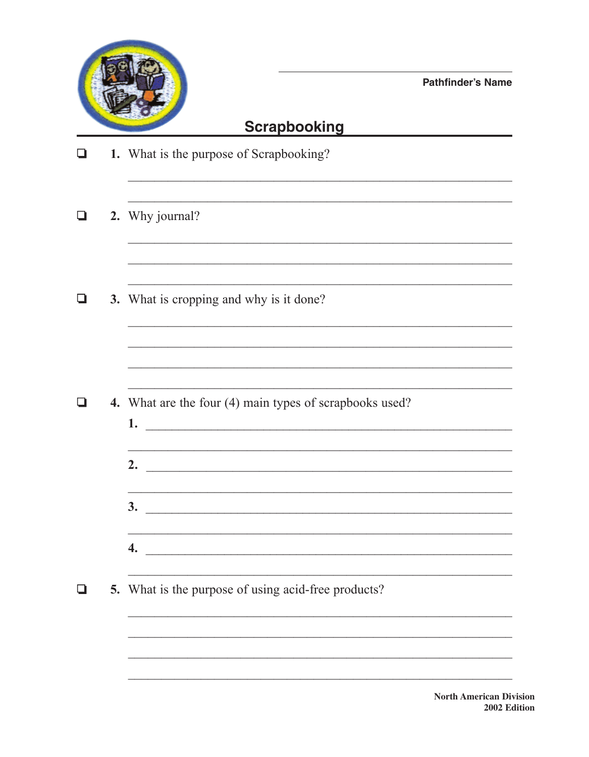

**Pathfinder's Name** 

## **Scrapbooking**

| H | 1. What is the purpose of Scrapbooking?                                                                                                    |
|---|--------------------------------------------------------------------------------------------------------------------------------------------|
|   | 2. Why journal?                                                                                                                            |
|   | 3. What is cropping and why is it done?                                                                                                    |
|   |                                                                                                                                            |
|   | 4. What are the four (4) main types of scrapbooks used?                                                                                    |
|   | <u> 1999 - Jan James James James James James James James James James James James James James James James James J</u><br>2. $\qquad \qquad$ |
|   | 3.<br><u> 1980 - Jan Barat, margaret amerikan ba</u>                                                                                       |
|   | 4.                                                                                                                                         |
|   | 5. What is the purpose of using acid-free products?                                                                                        |
|   |                                                                                                                                            |
|   |                                                                                                                                            |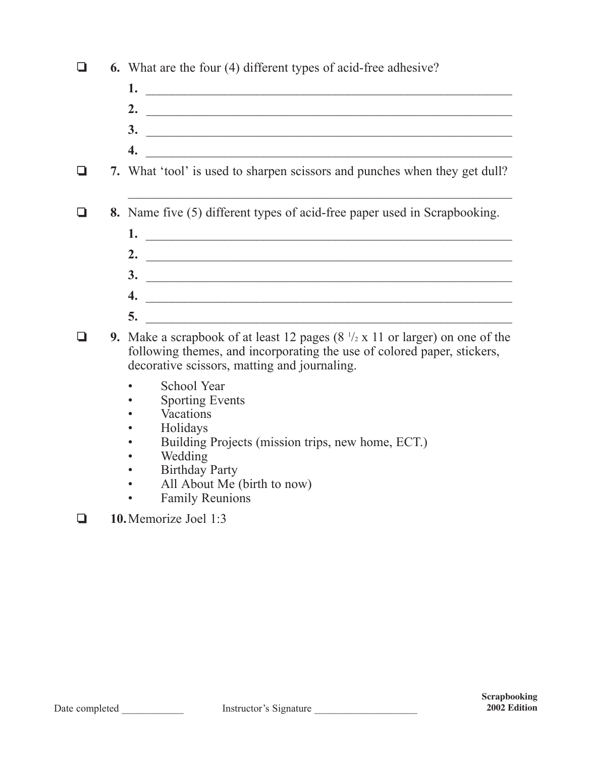| ப      | <b>6.</b> What are the four (4) different types of acid-free adhesive?                                                                                                                                                   |  |
|--------|--------------------------------------------------------------------------------------------------------------------------------------------------------------------------------------------------------------------------|--|
|        |                                                                                                                                                                                                                          |  |
|        | 2. $\qquad \qquad$                                                                                                                                                                                                       |  |
|        | $\overline{\mathbf{3.}}$                                                                                                                                                                                                 |  |
|        | 4.                                                                                                                                                                                                                       |  |
| $\Box$ | 7. What 'tool' is used to sharpen scissors and punches when they get dull?                                                                                                                                               |  |
| ⊔      | 8. Name five (5) different types of acid-free paper used in Scrapbooking.                                                                                                                                                |  |
|        |                                                                                                                                                                                                                          |  |
|        |                                                                                                                                                                                                                          |  |
|        | $\frac{3}{2}$                                                                                                                                                                                                            |  |
|        | $\overline{4.}$                                                                                                                                                                                                          |  |
|        | 5.                                                                                                                                                                                                                       |  |
|        | 9. Make a scrapbook of at least 12 pages $(8 \frac{1}{2} \times 11)$ or larger) on one of the<br>following themes, and incorporating the use of colored paper, stickers,<br>decorative scissors, matting and journaling. |  |
|        | School Year<br><b>Sporting Events</b><br>Vacations<br>Holidays                                                                                                                                                           |  |
|        | Building Projects (mission trips, new home, ECT.)<br>Wedding                                                                                                                                                             |  |
|        | <b>Birthday Party</b>                                                                                                                                                                                                    |  |
|        | All About Me (birth to now)                                                                                                                                                                                              |  |
|        | <b>Family Reunions</b>                                                                                                                                                                                                   |  |

❏ **10.**Memorize Joel 1:3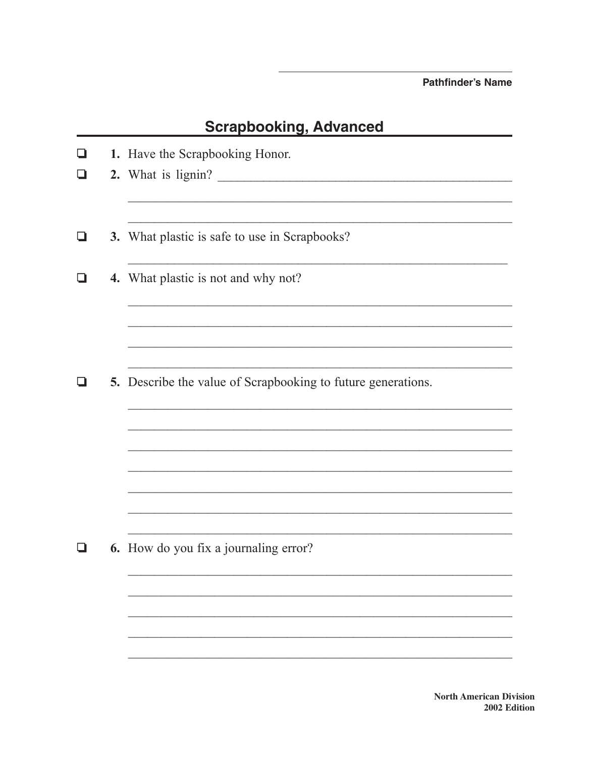**Pathfinder's Name** 

## **Scrapbooking, Advanced**

| ❏  | 1. Have the Scrapbooking Honor.                              |
|----|--------------------------------------------------------------|
| ப  | 2. What is lignin?                                           |
| ▁▌ | 3. What plastic is safe to use in Scrapbooks?                |
|    |                                                              |
|    | 4. What plastic is not and why not?                          |
|    |                                                              |
|    |                                                              |
|    | 5. Describe the value of Scrapbooking to future generations. |
|    |                                                              |
|    |                                                              |
|    |                                                              |
|    |                                                              |
|    |                                                              |
|    |                                                              |
|    | 6. How do you fix a journaling error?                        |
|    |                                                              |
|    |                                                              |
|    |                                                              |
|    |                                                              |
|    |                                                              |

**North American Division** 2002 Edition